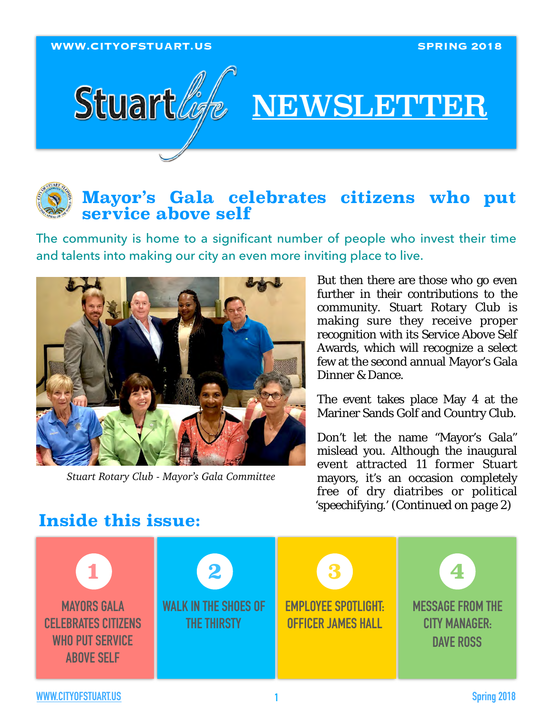**WWW.CITYOFSTUART.US SPRING 2018**



# NEWSLETTER

## **Mayor's Gala celebrates citizens who put service above self**

The community is home to a significant number of people who invest their time and talents into making our city an even more inviting place to live.



*Stuart Rotary Club - Mayor's Gala Committee*

But then there are those who go even further in their contributions to the community. Stuart Rotary Club is making sure they receive proper recognition with its Service Above Self Awards, which will recognize a select few at the second annual Mayor's Gala Dinner & Dance.

The event takes place May 4 at the Mariner Sands Golf and Country Club.

Don't let the name "Mayor's Gala" mislead you. Although the inaugural event attracted 11 former Stuart mayors, it's an occasion completely free of dry diatribes or political 'speechifying.' (*Continued on page 2*)

# **Inside this issue:**

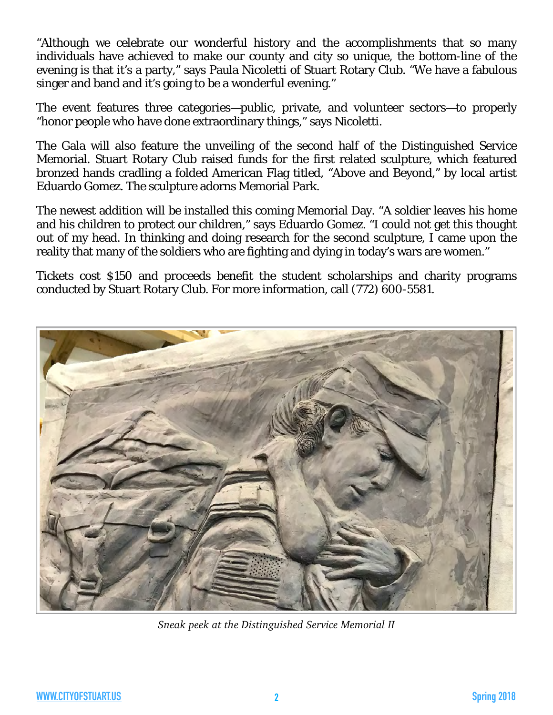"Although we celebrate our wonderful history and the accomplishments that so many individuals have achieved to make our county and city so unique, the bottom-line of the evening is that it's a party," says Paula Nicoletti of Stuart Rotary Club. "We have a fabulous singer and band and it's going to be a wonderful evening."

The event features three categories—public, private, and volunteer sectors—to properly "honor people who have done extraordinary things," says Nicoletti.

The Gala will also feature the unveiling of the second half of the Distinguished Service Memorial. Stuart Rotary Club raised funds for the first related sculpture, which featured bronzed hands cradling a folded American Flag titled, "Above and Beyond," by local artist Eduardo Gomez. The sculpture adorns Memorial Park.

The newest addition will be installed this coming Memorial Day. "A soldier leaves his home and his children to protect our children," says Eduardo Gomez. "I could not get this thought out of my head. In thinking and doing research for the second sculpture, I came upon the reality that many of the soldiers who are fighting and dying in today's wars are women."

Tickets cost \$150 and proceeds benefit the student scholarships and charity programs conducted by Stuart Rotary Club. For more information, call (772) 600-5581.



*Sneak peek at the Distinguished Service Memorial II*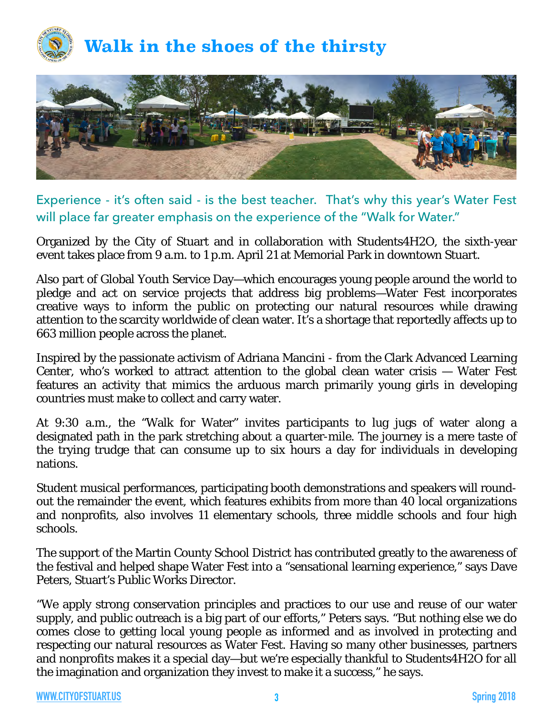



### Experience - it's often said - is the best teacher. That's why this year's Water Fest will place far greater emphasis on the experience of the "Walk for Water."

Organized by the City of Stuart and in collaboration with Students4H2O, the sixth-year event takes place from 9 a.m. to 1 p.m. April 21 at Memorial Park in downtown Stuart.

Also part of Global Youth Service Day—which encourages young people around the world to pledge and act on service projects that address big problems—Water Fest incorporates creative ways to inform the public on protecting our natural resources while drawing attention to the scarcity worldwide of clean water. It's a shortage that reportedly affects up to 663 million people across the planet.

Inspired by the passionate activism of Adriana Mancini - from the Clark Advanced Learning Center, who's worked to attract attention to the global clean water crisis — Water Fest features an activity that mimics the arduous march primarily young girls in developing countries must make to collect and carry water.

At 9:30 a.m., the "Walk for Water" invites participants to lug jugs of water along a designated path in the park stretching about a quarter-mile. The journey is a mere taste of the trying trudge that can consume up to six hours a day for individuals in developing nations.

Student musical performances, participating booth demonstrations and speakers will roundout the remainder the event, which features exhibits from more than 40 local organizations and nonprofits, also involves 11 elementary schools, three middle schools and four high schools.

The support of the Martin County School District has contributed greatly to the awareness of the festival and helped shape Water Fest into a "sensational learning experience," says Dave Peters, Stuart's Public Works Director.

"We apply strong conservation principles and practices to our use and reuse of our water supply, and public outreach is a big part of our efforts," Peters says. "But nothing else we do comes close to getting local young people as informed and as involved in protecting and respecting our natural resources as Water Fest. Having so many other businesses, partners and nonprofits makes it a special day—but we're especially thankful to Students4H2O for all the imagination and organization they invest to make it a success," he says.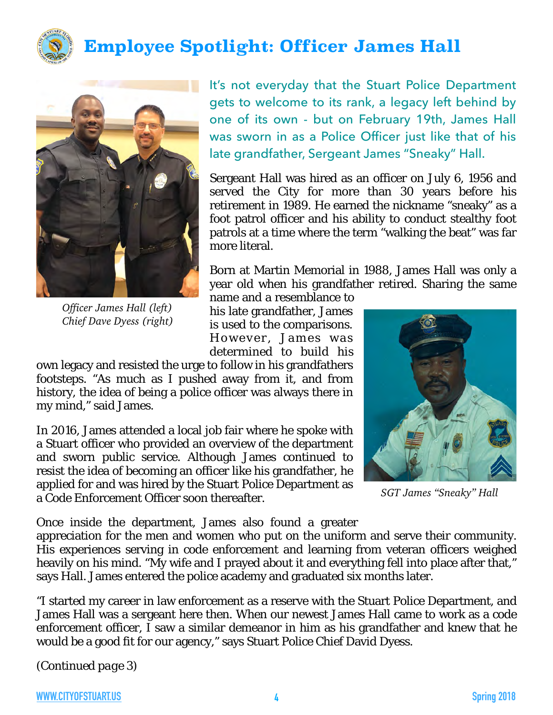

# **Employee Spotlight: Officer James Hall**



*Officer James Hall (left) Chief Dave Dyess (right)*

It's not everyday that the Stuart Police Department gets to welcome to its rank, a legacy left behind by one of its own - but on February 19th, James Hall was sworn in as a Police Officer just like that of his late grandfather, Sergeant James "Sneaky" Hall.

Sergeant Hall was hired as an officer on July 6, 1956 and served the City for more than 30 years before his retirement in 1989. He earned the nickname "sneaky" as a foot patrol officer and his ability to conduct stealthy foot patrols at a time where the term "walking the beat" was far more literal.

Born at Martin Memorial in 1988, James Hall was only a year old when his grandfather retired. Sharing the same

name and a resemblance to his late grandfather, James is used to the comparisons. However, James was determined to build his

own legacy and resisted the urge to follow in his grandfathers footsteps. "As much as I pushed away from it, and from history, the idea of being a police officer was always there in my mind," said James.

In 2016, James attended a local job fair where he spoke with a Stuart officer who provided an overview of the department and sworn public service. Although James continued to resist the idea of becoming an officer like his grandfather, he applied for and was hired by the Stuart Police Department as a Code Enforcement Officer soon thereafter.



*SGT James "Sneaky" Hall*

Once inside the department, James also found a greater

appreciation for the men and women who put on the uniform and serve their community. His experiences serving in code enforcement and learning from veteran officers weighed heavily on his mind. "My wife and I prayed about it and everything fell into place after that," says Hall. James entered the police academy and graduated six months later.

"I started my career in law enforcement as a reserve with the Stuart Police Department, and James Hall was a sergeant here then. When our newest James Hall came to work as a code enforcement officer, I saw a similar demeanor in him as his grandfather and knew that he would be a good fit for our agency," says Stuart Police Chief David Dyess.

(*Continued page 3*)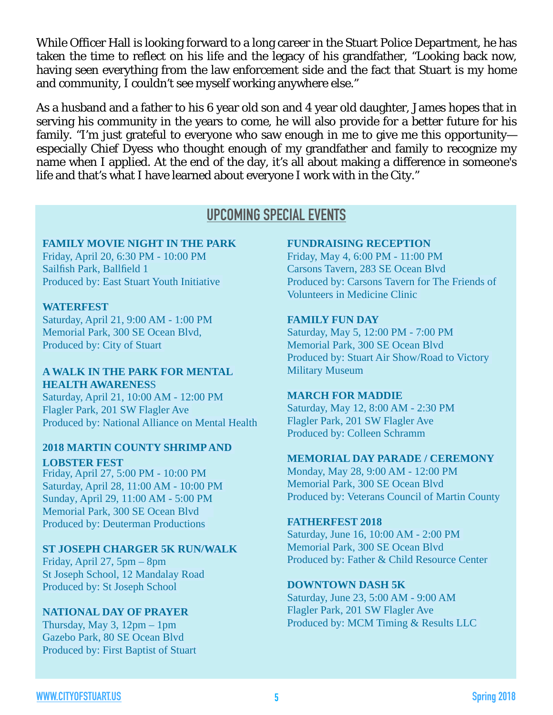While Officer Hall is looking forward to a long career in the Stuart Police Department, he has taken the time to reflect on his life and the legacy of his grandfather, "Looking back now, having seen everything from the law enforcement side and the fact that Stuart is my home and community, I couldn't see myself working anywhere else."

As a husband and a father to his 6 year old son and 4 year old daughter, James hopes that in serving his community in the years to come, he will also provide for a better future for his family. "I'm just grateful to everyone who saw enough in me to give me this opportunityespecially Chief Dyess who thought enough of my grandfather and family to recognize my name when I applied. At the end of the day, it's all about making a difference in someone's life and that's what I have learned about everyone I work with in the City."

## **UPCOMING SPECIAL EVENTS**

#### **FAMILY MOVIE NIGHT IN THE PARK**

Friday, April 20, 6:30 PM - 10:00 PM Sailfish Park, Ballfield 1 Produced by: East Stuart Youth Initiative

#### **WATERFEST**

Saturday, April 21, 9:00 AM - 1:00 PM Memorial Park, 300 SE Ocean Blvd, Produced by: City of Stuart

#### **A WALK IN THE PARK FOR MENTAL HEALTH AWARENES**S

Saturday, April 21, 10:00 AM - 12:00 PM Flagler Park, 201 SW Flagler Ave Produced by: National Alliance on Mental Health

#### **2018 MARTIN COUNTY SHRIMP AND LOBSTER FEST**

Friday, April 27, 5:00 PM - 10:00 PM Saturday, April 28, 11:00 AM - 10:00 PM Sunday, April 29, 11:00 AM - 5:00 PM Memorial Park, 300 SE Ocean Blvd Produced by: Deuterman Productions

#### **ST JOSEPH CHARGER 5K RUN/WALK**

Friday, April 27, 5pm – 8pm St Joseph School, 12 Mandalay Road Produced by: St Joseph School

#### **NATIONAL DAY OF PRAYER**

Thursday, May 3, 12pm – 1pm Gazebo Park, 80 SE Ocean Blvd Produced by: First Baptist of Stuart

#### **FUNDRAISING RECEPTION**

Friday, May 4, 6:00 PM - 11:00 PM Carsons Tavern, 283 SE Ocean Blvd Produced by: Carsons Tavern for The Friends of Volunteers in Medicine Clinic

#### **FAMILY FUN DAY**

Saturday, May 5, 12:00 PM - 7:00 PM Memorial Park, 300 SE Ocean Blvd Produced by: Stuart Air Show/Road to Victory Military Museum

#### **MARCH FOR MADDIE**

Saturday, May 12, 8:00 AM - 2:30 PM Flagler Park, 201 SW Flagler Ave Produced by: Colleen Schramm

#### **MEMORIAL DAY PARADE / CEREMONY**

Monday, May 28, 9:00 AM - 12:00 PM Memorial Park, 300 SE Ocean Blvd Produced by: Veterans Council of Martin County

#### **FATHERFEST 2018**

Saturday, June 16, 10:00 AM - 2:00 PM Memorial Park, 300 SE Ocean Blvd Produced by: Father & Child Resource Center

#### **DOWNTOWN DASH 5K**

Saturday, June 23, 5:00 AM - 9:00 AM Flagler Park, 201 SW Flagler Ave Produced by: MCM Timing & Results LLC